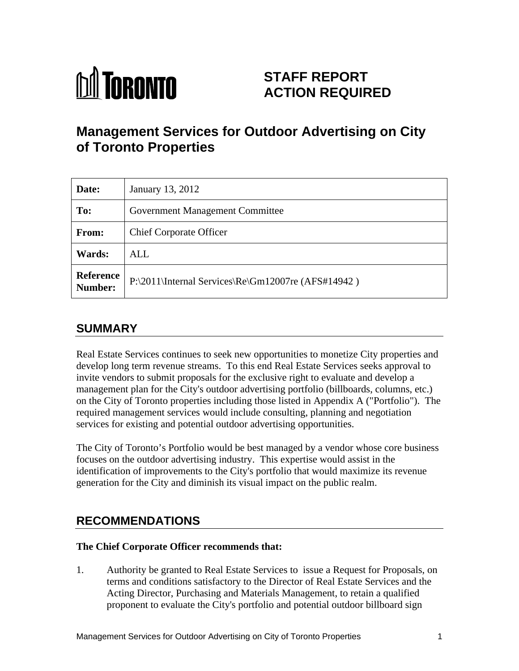

# **STAFF REPORT ACTION REQUIRED**

# **Management Services for Outdoor Advertising on City of Toronto Properties**

| Date:         | January 13, 2012                                           |
|---------------|------------------------------------------------------------|
| To:           | Government Management Committee                            |
| From:         | <b>Chief Corporate Officer</b>                             |
| <b>Wards:</b> | <b>ALL</b>                                                 |
| Reference     | $\vert$ P:\2011\Internal Services\Re\Gm12007re (AFS#14942) |

# **SUMMARY**

Real Estate Services continues to seek new opportunities to monetize City properties and develop long term revenue streams. To this end Real Estate Services seeks approval to invite vendors to submit proposals for the exclusive right to evaluate and develop a management plan for the City's outdoor advertising portfolio (billboards, columns, etc.) on the City of Toronto properties including those listed in Appendix A ("Portfolio"). The required management services would include consulting, planning and negotiation services for existing and potential outdoor advertising opportunities.

The City of Toronto's Portfolio would be best managed by a vendor whose core business focuses on the outdoor advertising industry. This expertise would assist in the identification of improvements to the City's portfolio that would maximize its revenue generation for the City and diminish its visual impact on the public realm.

# **RECOMMENDATIONS**

### **The Chief Corporate Officer recommends that:**

1. Authority be granted to Real Estate Services to issue a Request for Proposals, on terms and conditions satisfactory to the Director of Real Estate Services and the Acting Director, Purchasing and Materials Management, to retain a qualified proponent to evaluate the City's portfolio and potential outdoor billboard sign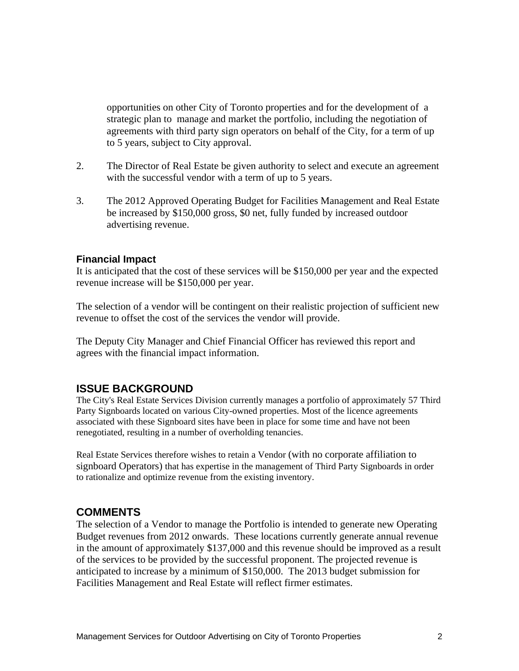opportunities on other City of Toronto properties and for the development of a strategic plan to manage and market the portfolio, including the negotiation of agreements with third party sign operators on behalf of the City, for a term of up to 5 years, subject to City approval.

- 2. The Director of Real Estate be given authority to select and execute an agreement with the successful vendor with a term of up to 5 years.
- 3. The 2012 Approved Operating Budget for Facilities Management and Real Estate be increased by \$150,000 gross, \$0 net, fully funded by increased outdoor advertising revenue.

#### **Financial Impact**

It is anticipated that the cost of these services will be \$150,000 per year and the expected revenue increase will be \$150,000 per year.

The selection of a vendor will be contingent on their realistic projection of sufficient new revenue to offset the cost of the services the vendor will provide.

The Deputy City Manager and Chief Financial Officer has reviewed this report and agrees with the financial impact information.

### **ISSUE BACKGROUND**

The City's Real Estate Services Division currently manages a portfolio of approximately 57 Third Party Signboards located on various City-owned properties. Most of the licence agreements associated with these Signboard sites have been in place for some time and have not been renegotiated, resulting in a number of overholding tenancies.

Real Estate Services therefore wishes to retain a Vendor (with no corporate affiliation to signboard Operators) that has expertise in the management of Third Party Signboards in order to rationalize and optimize revenue from the existing inventory.

#### **COMMENTS**

The selection of a Vendor to manage the Portfolio is intended to generate new Operating Budget revenues from 2012 onwards. These locations currently generate annual revenue in the amount of approximately \$137,000 and this revenue should be improved as a result of the services to be provided by the successful proponent. The projected revenue is anticipated to increase by a minimum of \$150,000. The 2013 budget submission for Facilities Management and Real Estate will reflect firmer estimates.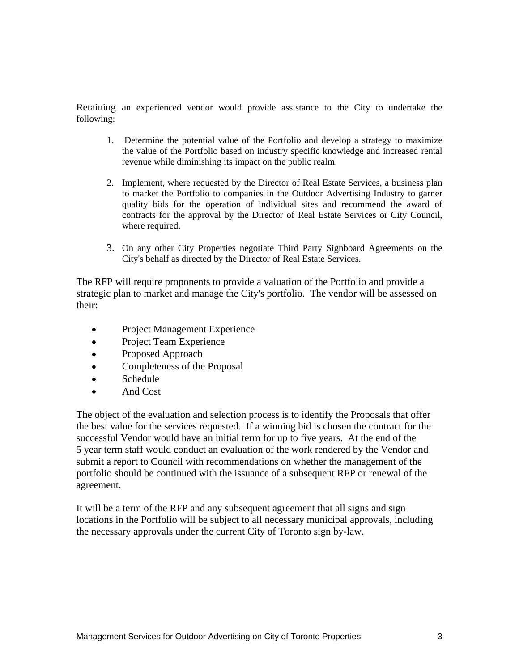Retaining an experienced vendor would provide assistance to the City to undertake the following:

- 1. Determine the potential value of the Portfolio and develop a strategy to maximize the value of the Portfolio based on industry specific knowledge and increased rental revenue while diminishing its impact on the public realm.
- 2. Implement, where requested by the Director of Real Estate Services, a business plan to market the Portfolio to companies in the Outdoor Advertising Industry to garner quality bids for the operation of individual sites and recommend the award of contracts for the approval by the Director of Real Estate Services or City Council, where required.
- 3. On any other City Properties negotiate Third Party Signboard Agreements on the City's behalf as directed by the Director of Real Estate Services.

The RFP will require proponents to provide a valuation of the Portfolio and provide a strategic plan to market and manage the City's portfolio. The vendor will be assessed on their:

- $\bullet$ Project Management Experience
- Project Team Experience  $\bullet$
- $\bullet$ Proposed Approach
- Completeness of the Proposal
- Schedule **Schedule Schedule Schedule Schedule Schedule Schedule Schedule Schedule Schedule Schedule Schedule Schedule Schedule Schedule Schedule Schedule Schedule Schedule Schedule Sch**  $\bullet$
- And Cost

The object of the evaluation and selection process is to identify the Proposals that offer the best value for the services requested. If a winning bid is chosen the contract for the successful Vendor would have an initial term for up to five years. At the end of the 5 year term staff would conduct an evaluation of the work rendered by the Vendor and submit a report to Council with recommendations on whether the management of the portfolio should be continued with the issuance of a subsequent RFP or renewal of the agreement.

It will be a term of the RFP and any subsequent agreement that all signs and sign locations in the Portfolio will be subject to all necessary municipal approvals, including the necessary approvals under the current City of Toronto sign by-law.